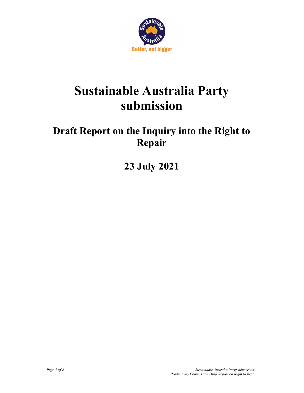

## Sustainable Australia Party submission

## Draft Report on the Inquiry into the Right to Repair

23 July 2021